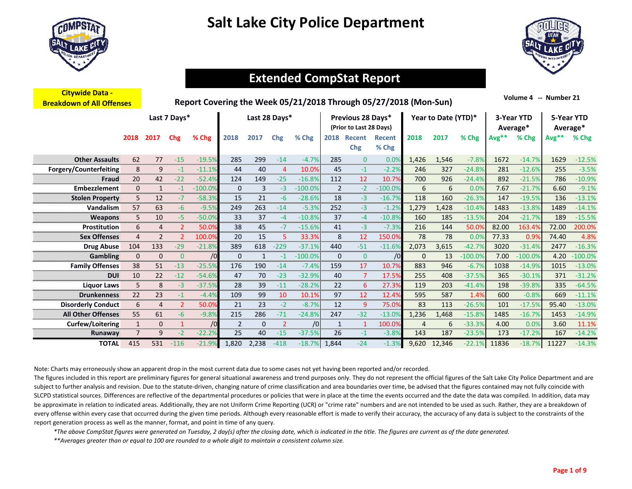



### **Extended CompStat Report…….**

| <b>Citywide Data -</b><br><b>Breakdown of All Offenses</b> |                |                |                | Report Covering the Week 05/21/2018 Through 05/27/2018 (Mon-Sun) |              |               |        |           |                |                                              |                        |              |                     |           |         | Volume 4 -- Number 21  |            |           |
|------------------------------------------------------------|----------------|----------------|----------------|------------------------------------------------------------------|--------------|---------------|--------|-----------|----------------|----------------------------------------------|------------------------|--------------|---------------------|-----------|---------|------------------------|------------|-----------|
|                                                            |                |                | Last 7 Days*   |                                                                  |              | Last 28 Days* |        |           |                | Previous 28 Days*<br>(Prior to Last 28 Days) |                        |              | Year to Date (YTD)* |           |         | 3-Year YTD<br>Average* | 5-Year YTD | Average*  |
|                                                            | 2018           | 2017           | Chg            | % Chg                                                            | 2018         | 2017          | Chg    | % Chg     | 2018           | Recent<br>Chg                                | <b>Recent</b><br>% Chg | 2018         | 2017                | % Chg     | $Avg**$ | % Chg                  | $Avg**$    | % Chg     |
| <b>Other Assaults</b>                                      | 62             | 77             | $-15$          | $-19.5%$                                                         | 285          | 299           | $-14$  | $-4.7%$   | 285            | $\mathbf{0}$                                 | 0.0%                   | 1,426        | 1,546               | $-7.8%$   | 1672    | $-14.7%$               | 1629       | $-12.5%$  |
| Forgery/Counterfeiting                                     | 8              | 9              | $-1$           | $-11.1%$                                                         | 44           | 40            | 4      | 10.0%     | 45             | $-1$                                         | $-2.2%$                | 246          | 327                 | $-24.8%$  | 281     | $-12.6%$               | 255        | $-3.5%$   |
| Fraud                                                      | 20             | 42             | $-22$          | $-52.4%$                                                         | 124          | 149           | $-25$  | $-16.8%$  | 112            | 12                                           | 10.7%                  | 700          | 926                 | $-24.4%$  | 892     | $-21.5%$               | 786        | $-10.9%$  |
| Embezzlement                                               | $\mathbf{0}$   | $\mathbf{1}$   | $-1$           | $-100.0%$                                                        | $\mathbf{0}$ | 3             | $-3$   | $-100.0%$ | $\overline{2}$ | $-2$                                         | $-100.0%$              | 6            | 6                   | 0.0%      | 7.67    | $-21.7%$               | 6.60       | $-9.1%$   |
| <b>Stolen Property</b>                                     | 5              | 12             | $-7$           | $-58.3%$                                                         | 15           | 21            | -6     | $-28.6%$  | 18             | -3                                           | $-16.7%$               | 118          | 160                 | $-26.3%$  | 147     | $-19.5%$               | 136        | $-13.1%$  |
| Vandalism                                                  | 57             | 63             | $-6$           | $-9.5%$                                                          | 249          | 263           | $-14$  | $-5.3%$   | 252            | $-3$                                         | $-1.2%$                | 1,279        | 1,428               | $-10.4%$  | 1483    | $-13.8%$               | 1489       | $-14.1%$  |
| <b>Weapons</b>                                             | 5              | 10             | -5             | $-50.0%$                                                         | 33           | 37            | $-4$   | $-10.8%$  | 37             | $-4$                                         | $-10.8%$               | 160          | 185                 | $-13.5%$  | 204     | $-21.7%$               | 189        | $-15.5%$  |
| <b>Prostitution</b>                                        | 6              | 4              | 2              | 50.0%                                                            | 38           | 45            | $-7$   | $-15.6%$  | 41             | $-3$                                         | $-7.3%$                | 216          | 144                 | 50.0%     | 82.00   | 163.4%                 | 72.00      | 200.0%    |
| <b>Sex Offenses</b>                                        | $\overline{4}$ | $\overline{2}$ | $\mathcal{P}$  | 100.0%                                                           | 20           | 15            | 5      | 33.3%     | 8              | 12                                           | 150.0%                 | 78           | 78                  | 0.0%      | 77.33   | 0.9%                   | 74.40      | 4.8%      |
| <b>Drug Abuse</b>                                          | 104            | 133            | $-29$          | $-21.8%$                                                         | 389          | 618           | $-229$ | $-37.1%$  | 440            | $-51$                                        | $-11.6%$               | 2,073        | 3,615               | $-42.7%$  | 3020    | $-31.4%$               | 2477       | $-16.3%$  |
| <b>Gambling</b>                                            | $\mathbf{0}$   | $\mathbf 0$    | $\mathbf{0}$   | /0                                                               | $\mathbf 0$  | $\mathbf{1}$  | $-1$   | $-100.0%$ | $\mathbf 0$    | $\overline{0}$                               | /0                     | $\mathbf{0}$ | 13                  | $-100.0%$ | 7.00    | $-100.0%$              | 4.20       | $-100.0%$ |
| <b>Family Offenses</b>                                     | 38             | 51             | $-13$          | $-25.5%$                                                         | 176          | 190           | $-14$  | $-7.4%$   | 159            | 17                                           | 10.7%                  | 883          | 946                 | $-6.7%$   | 1038    | $-14.9%$               | 1015       | $-13.0%$  |
| <b>DUI</b>                                                 | 10             | 22             | $-12$          | $-54.6%$                                                         | 47           | 70            | $-23$  | $-32.9%$  | 40             | 7                                            | 17.5%                  | 255          | 408                 | $-37.5%$  | 365     | $-30.1%$               | 371        | $-31.2%$  |
| <b>Liquor Laws</b>                                         | 5              | 8              | $-3$           | $-37.5%$                                                         | 28           | 39            | $-11$  | $-28.2%$  | 22             | 6                                            | 27.3%                  | 119          | 203                 | $-41.4%$  | 198     | $-39.8%$               | 335        | $-64.5%$  |
| <b>Drunkenness</b>                                         | 22             | 23             | $-1$           | $-4.4%$                                                          | 109          | 99            | 10     | 10.1%     | 97             | 12                                           | 12.4%                  | 595          | 587                 | 1.4%      | 600     | $-0.8%$                | 669        | $-11.1%$  |
| <b>Disorderly Conduct</b>                                  | 6              | 4              | $\overline{2}$ | 50.0%                                                            | 21           | 23            | $-2$   | $-8.7%$   | 12             | 9                                            | 75.0%                  | 83           | 113                 | $-26.5%$  | 101     | $-17.5%$               | 95.40      | $-13.0%$  |
| <b>All Other Offenses</b>                                  | 55             | 61             | $-6$           | $-9.8%$                                                          | 215          | 286           | $-71$  | $-24.8%$  | 247            | $-32$                                        | $-13.0%$               | 1,236        | 1,468               | $-15.8%$  | 1485    | $-16.7%$               | 1453       | $-14.9%$  |
| Curfew/Loitering                                           | $\mathbf{1}$   | $\mathbf{0}$   | $\mathbf{1}$   | /0                                                               | 2            | $\mathbf 0$   | 2      | /0        | 1              | 1                                            | 100.0%                 | $\Delta$     | 6                   | $-33.3%$  | 4.00    | 0.0%                   | 3.60       | 11.1%     |
| Runaway                                                    |                | 9              | $-2$           | $-22.2%$                                                         | 25           | 40            | $-15$  | $-37.5%$  | 26             | $-1$                                         | $-3.8%$                | 143          | 187                 | $-23.5%$  | 173     | $-17.2%$               | 167        | $-14.2%$  |
| <b>TOTAL</b>                                               | 415            | 531            | $-116$         | $-21.9%$                                                         | 1.820        | 2.238         | $-418$ | $-18.7%$  | 1.844          | $-24$                                        | $-1.3%$                | 9.620        | 12.346              | $-22.1%$  | 11836   | $-18.7%$               | 11227      | $-14.3%$  |

Note: Charts may erroneously show an apparent drop in the most current data due to some cases not yet having been reported and/or recorded.

The figures included in this report are preliminary figures for general situational awareness and trend purposes only. They do not represent the official figures of the Salt Lake City Police Department and are subject to further analysis and revision. Due to the statute-driven, changing nature of crime classification and area boundaries over time, be advised that the figures contained may not fully coincide with SLCPD statistical sources. Differences are reflective of the departmental procedures or policies that were in place at the time the events occurred and the date the data was compiled. In addition, data may be approximate in relation to indicated areas. Additionally, they are not Uniform Crime Reporting (UCR) or "crime rate" numbers and are not intended to be used as such. Rather, they are a breakdown of every offense within every case that occurred during the given time periods. Although every reasonable effort is made to verify their accuracy, the accuracy of any data is subject to the constraints of the report generation process as well as the manner, format, and point in time of any query.

*\*The above CompStat figures were generated on Tuesday, 2 day(s) after the closing date, which is indicated in the title. The figures are current as of the date generated.*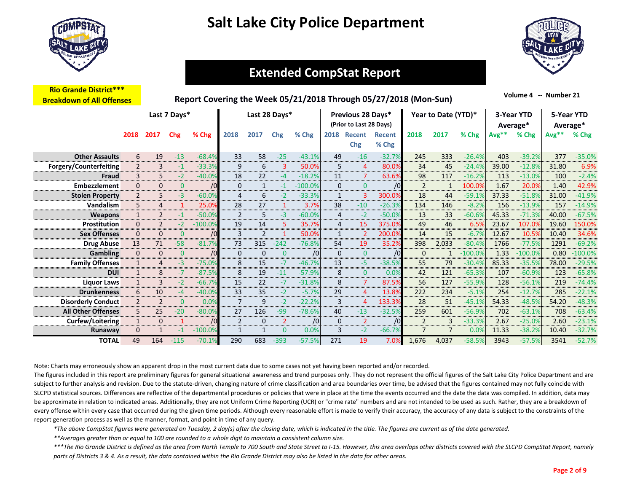

**Rio Grande District\*\*\***



### **Extended CompStat Report…….**

| <b>Breakdown of All Offenses</b> |                |                |                |           |                |               |                | Report Covering the Week 05/21/2018 Through 05/27/2018 (Mon-Sun) |                |                                              |                 |                |                     |           |         | Volume 4<br>$\mathbf{u}$ | Number 21 |                        |
|----------------------------------|----------------|----------------|----------------|-----------|----------------|---------------|----------------|------------------------------------------------------------------|----------------|----------------------------------------------|-----------------|----------------|---------------------|-----------|---------|--------------------------|-----------|------------------------|
|                                  |                |                | Last 7 Days*   |           |                | Last 28 Days* |                |                                                                  |                | Previous 28 Days*<br>(Prior to Last 28 Days) |                 |                | Year to Date (YTD)* |           |         | 3-Year YTD<br>Average*   |           | 5-Year YTD<br>Average* |
|                                  | 2018           | 2017           | Chg            | % Chg     | 2018           | 2017          | Chg            | % Chg                                                            | 2018           | Recent<br><b>Chg</b>                         | Recent<br>% Chg | 2018           | 2017                | % Chg     | $Avg**$ | % Chg                    | Avg**     | % Chg                  |
| <b>Other Assaults</b>            | 6              | 19             | $-13$          | $-68.4%$  | 33             | 58            | $-25$          | $-43.1%$                                                         | 49             | $-16$                                        | $-32.7%$        | 245            | 333                 | $-26.4%$  | 403     | $-39.2%$                 | 377       | $-35.0%$               |
| Forgery/Counterfeiting           | $\overline{2}$ | 3              | $-1$           | $-33.3%$  | 9              | 6             | 3              | 50.0%                                                            | 5              | 4                                            | 80.0%           | 34             | 45                  | $-24.4%$  | 39.00   | $-12.8%$                 | 31.80     | 6.9%                   |
| Fraud                            | 3              | 5              | $-2$           | $-40.0%$  | 18             | 22            | $-4$           | $-18.2%$                                                         | 11             | $\overline{7}$                               | 63.6%           | 98             | 117                 | $-16.2%$  | 113     | $-13.0%$                 | 100       | $-2.4%$                |
| <b>Embezzlement</b>              | 0              | $\mathbf{0}$   | $\mathbf{0}$   | /0        | 0              | $\mathbf{1}$  | $-1$           | $-100.0%$                                                        | $\mathbf{0}$   | $\mathbf{0}$                                 | /0              | $\overline{2}$ | $\mathbf{1}$        | 100.0%    | 1.67    | 20.0%                    | 1.40      | 42.9%                  |
| <b>Stolen Property</b>           | $\overline{2}$ | 5              | $-3$           | $-60.0%$  | 4              | 6             | $-2$           | $-33.3%$                                                         | $\mathbf{1}$   | 3                                            | 300.0%          | 18             | 44                  | $-59.1%$  | 37.33   | $-51.8%$                 | 31.00     | $-41.9%$               |
| Vandalism                        | 5              | 4              |                | 25.0%     | 28             | 27            |                | 3.7%                                                             | 38             | $-10$                                        | $-26.3%$        | 134            | 146                 | $-8.2%$   | 156     | $-13.9%$                 | 157       | $-14.9%$               |
| <b>Weapons</b>                   | $\mathbf{1}$   | $\overline{2}$ |                | $-50.0%$  | $\overline{2}$ | 5             | $-3$           | $-60.0%$                                                         | $\overline{4}$ | $-2$                                         | $-50.0%$        | 13             | 33                  | $-60.6%$  | 45.33   | $-71.3%$                 | 40.00     | $-67.5%$               |
| Prostitution                     | 0              | $\overline{2}$ | $-2$           | $-100.0%$ | 19             | 14            | 5              | 35.7%                                                            | 4              | 15                                           | 375.0%          | 49             | 46                  | 6.5%      | 23.67   | 107.0%                   | 19.60     | 150.0%                 |
| <b>Sex Offenses</b>              | $\mathbf{0}$   | $\mathbf{0}$   | $\mathbf{0}$   | /0        | 3              | 2             |                | 50.0%                                                            | $\mathbf{1}$   | $\overline{2}$                               | 200.0%          | 14             | 15                  | $-6.7%$   | 12.67   | 10.5%                    | 10.40     | 34.6%                  |
| <b>Drug Abuse</b>                | 13             | 71             | $-58$          | $-81.7%$  | 73             | 315           | $-242$         | $-76.8%$                                                         | 54             | 19                                           | 35.2%           | 398            | 2,033               | $-80.4%$  | 1766    | $-77.5%$                 | 1291      | $-69.2%$               |
| <b>Gambling</b>                  | 0              | $\mathbf{0}$   | $\mathbf{0}$   | /0        | $\mathbf 0$    | $\mathbf 0$   | $\mathbf{0}$   | /0                                                               | $\mathbf{0}$   | $\mathbf{0}$                                 | /0              | 0              | $\mathbf{1}$        | $-100.0%$ | 1.33    | $-100.0%$                | 0.80      | $-100.0%$              |
| <b>Family Offenses</b>           | $\mathbf{1}$   | 4              | $-3$           | $-75.0%$  | 8              | 15            | $-7$           | $-46.7%$                                                         | 13             | $-5$                                         | $-38.5%$        | 55             | 79                  | $-30.4%$  | 85.33   | $-35.5%$                 | 78.00     | $-29.5%$               |
| <b>DUI</b>                       | $\mathbf{1}$   | 8              | $-7$           | $-87.5%$  | 8              | 19            | $-11$          | $-57.9%$                                                         | 8              | $\mathbf{0}$                                 | 0.0%            | 42             | 121                 | $-65.3%$  | 107     | $-60.9%$                 | 123       | $-65.8%$               |
| <b>Liquor Laws</b>               | $\mathbf{1}$   | 3              | $-2$           | $-66.79$  | 15             | 22            | $-7$           | $-31.8%$                                                         | 8              | $\overline{7}$                               | 87.5%           | 56             | 127                 | $-55.9%$  | 128     | $-56.1%$                 | 219       | $-74.4%$               |
| <b>Drunkenness</b>               | 6              | 10             | $-4$           | $-40.0%$  | 33             | 35            | $-2$           | $-5.7%$                                                          | 29             | $\overline{4}$                               | 13.8%           | 222            | 234                 | $-5.1%$   | 254     | $-12.7%$                 | 285       | $-22.1%$               |
| <b>Disorderly Conduct</b>        | $\overline{2}$ | $\overline{2}$ | $\overline{0}$ | 0.0%      | $\overline{7}$ | 9             | $-2$           | $-22.2%$                                                         | 3              | $\overline{4}$                               | 133.3%          | 28             | 51                  | $-45.1%$  | 54.33   | $-48.5%$                 | 54.20     | $-48.3%$               |
| <b>All Other Offenses</b>        | 5              | 25             | $-20$          | $-80.0%$  | 27             | 126           | $-99$          | $-78.6%$                                                         | 40             | $-13$                                        | $-32.5%$        | 259            | 601                 | $-56.9%$  | 702     | $-63.1%$                 | 708       | $-63.4%$               |
| <b>Curfew/Loitering</b>          | $\mathbf{1}$   | $\mathbf{0}$   |                | /0        | $\overline{2}$ | $\mathbf 0$   | $\overline{2}$ | /0                                                               | $\mathbf{0}$   | $\overline{2}$                               | /0              | $\overline{2}$ | 3                   | $-33.3%$  | 2.67    | $-25.0%$                 | 2.60      | $-23.1%$               |
| Runaway                          | 0              |                | $-1$           | $-100.0%$ | $\mathbf{1}$   | $\mathbf{1}$  | $\Omega$       | 0.0%                                                             | 3              | $-2$                                         | $-66.7%$        | $\overline{7}$ | $\overline{7}$      | 0.0%      | 11.33   | $-38.2%$                 | 10.40     | $-32.7%$               |
| <b>TOTAL</b>                     | 49             | 164            | $-115$         | $-70.1%$  | 290            | 683           | $-393$         | $-57.5%$                                                         | 271            | 19                                           | 7.0%            | 1.676          | 4,037               | $-58.5%$  | 3943    | $-57.5%$                 | 3541      | $-52.7%$               |

Note: Charts may erroneously show an apparent drop in the most current data due to some cases not yet having been reported and/or recorded.

The figures included in this report are preliminary figures for general situational awareness and trend purposes only. They do not represent the official figures of the Salt Lake City Police Department and are subject to further analysis and revision. Due to the statute-driven, changing nature of crime classification and area boundaries over time, be advised that the figures contained may not fully coincide with SLCPD statistical sources. Differences are reflective of the departmental procedures or policies that were in place at the time the events occurred and the date the data was compiled. In addition, data may be approximate in relation to indicated areas. Additionally, they are not Uniform Crime Reporting (UCR) or "crime rate" numbers and are not intended to be used as such. Rather, they are a breakdown of every offense within every case that occurred during the given time periods. Although every reasonable effort is made to verify their accuracy, the accuracy of any data is subject to the constraints of the report generation process as well as the manner, format, and point in time of any query.

*\*The above CompStat figures were generated on Tuesday, 2 day(s) after the closing date, which is indicated in the title. The figures are current as of the date generated.*

*\*\*Averages greater than or equal to 100 are rounded to a whole digit to maintain a consistent column size.*

*\*\*\*The Rio Grande District is defined as the area from North Temple to 700 South and State Street to I‐15. However, this area overlaps other districts covered with the SLCPD CompStat Report, namely parts of Districts 3 & 4. As a result, the data contained within the Rio Grande District may also be listed in the data for other areas.*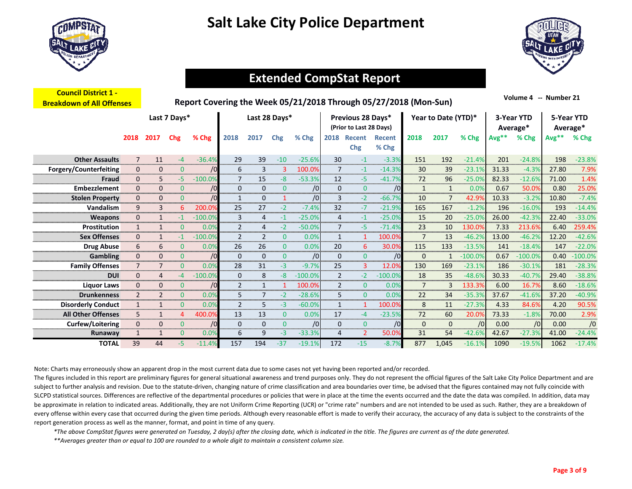

**Council District 1 ‐** 



### **Extended CompStat Report…….**

| <u>COUNCIL DISTRICT T -</u><br><b>Breakdown of All Offenses</b> |                |                |                | Report Covering the Week 05/21/2018 Through 05/27/2018 (Mon-Sun) |                |                |               |            |                |                                              |                        |                |                     |            |         | Volume 4 -- Number 21  |         |                        |
|-----------------------------------------------------------------|----------------|----------------|----------------|------------------------------------------------------------------|----------------|----------------|---------------|------------|----------------|----------------------------------------------|------------------------|----------------|---------------------|------------|---------|------------------------|---------|------------------------|
|                                                                 |                |                | Last 7 Days*   |                                                                  |                |                | Last 28 Days* |            |                | Previous 28 Days*<br>(Prior to Last 28 Days) |                        |                | Year to Date (YTD)* |            |         | 3-Year YTD<br>Average* |         | 5-Year YTD<br>Average* |
|                                                                 | 2018           | 2017           | Chg            | % Chg                                                            | 2018           | 2017           | Chg           | % Chg      | 2018           | Recent<br><b>Chg</b>                         | <b>Recent</b><br>% Chg | 2018           | 2017                | % Chg      | $Avg**$ | % Chg                  | $Avg**$ | % Chg                  |
| <b>Other Assaults</b>                                           | 7              | 11             | $-4$           | $-36.4%$                                                         | 29             | 39             | $-10$         | $-25.6%$   | 30             | $-1$                                         | $-3.3%$                | 151            | 192                 | $-21.4%$   | 201     | $-24.8%$               | 198     | $-23.8%$               |
| <b>Forgery/Counterfeiting</b>                                   | 0              | 0              | 0              | /0                                                               | 6              | 3              | 3             | 100.0%     | $\overline{7}$ | $-1$                                         | $-14.3%$               | 30             | 39                  | $-23.1%$   | 31.33   | $-4.3%$                | 27.80   | 7.9%                   |
| Fraud                                                           | 0              | 5.             | -5.            | $-100.0%$                                                        | 7              | 15             | -8            | $-53.3%$   | 12             | $-5$                                         | $-41.7%$               | 72             | 96                  | $-25.0%$   | 82.33   | $-12.6%$               | 71.00   | 1.4%                   |
| Embezzlement                                                    | 0              | 0              | 0              | /0                                                               | $\mathbf{0}$   | $\mathbf 0$    | $\mathbf{0}$  | $\sqrt{0}$ | $\mathbf{0}$   | $\mathbf{0}$                                 | /0                     | $\mathbf{1}$   | $\mathbf{1}$        | 0.0%       | 0.67    | 50.0%                  | 0.80    | 25.0%                  |
| <b>Stolen Property</b>                                          | 0              | 0              | $\Omega$       | /0                                                               | $\mathbf{1}$   | 0              | $\mathbf 1$   | /0         | 3              | $-2$                                         | $-66.7%$               | 10             | 7                   | 42.9%      | 10.33   | $-3.2%$                | 10.80   | $-7.4%$                |
| Vandalism                                                       | 9              | 3              | 6              | 200.0%                                                           | 25             | 27             | $-2$          | $-7.4%$    | 32             | $-7$                                         | $-21.9%$               | 165            | 167                 | $-1.2%$    | 196     | $-16.0%$               | 193     | $-14.4%$               |
| <b>Weapons</b>                                                  | 0              | 1              | -1             | $-100.0%$                                                        | 3              | $\overline{4}$ | $-1$          | $-25.0%$   | $\overline{4}$ | $-1$                                         | $-25.0%$               | 15             | 20                  | $-25.0%$   | 26.00   | $-42.3%$               | 22.40   | $-33.0%$               |
| Prostitution                                                    | $\mathbf{1}$   | 1              | 0              | 0.0%                                                             | $\overline{2}$ | $\overline{4}$ | $-2$          | $-50.0%$   | $\overline{7}$ | $-5$                                         | $-71.4%$               | 23             | 10                  | 130.0%     | 7.33    | 213.6%                 | 6.40    | 259.4%                 |
| <b>Sex Offenses</b>                                             | 0              | $\mathbf{1}$   | $-1$           | $-100.09$                                                        | 2              | $\overline{2}$ | $\mathbf 0$   | 0.0%       | $\mathbf{1}$   | 1                                            | 100.0%                 | $\overline{7}$ | 13                  | $-46.2%$   | 13.00   | $-46.2%$               | 12.20   | $-42.6%$               |
| <b>Drug Abuse</b>                                               | 6              | 6              | 0              | 0.0%                                                             | 26             | 26             | 0             | 0.0%       | 20             | 6                                            | 30.0%                  | 115            | 133                 | $-13.5%$   | 141     | $-18.4%$               | 147     | $-22.0%$               |
| <b>Gambling</b>                                                 | 0              | 0              | $\overline{0}$ | /0                                                               | $\mathbf{0}$   | $\mathbf 0$    | $\mathbf{0}$  | /0         | $\mathbf{0}$   | $\mathbf{0}$                                 | /0                     | 0              | $\mathbf{1}$        | $-100.0%$  | 0.67    | $-100.0%$              | 0.40    | $-100.0%$              |
| <b>Family Offenses</b>                                          | $\overline{7}$ | $\overline{7}$ | $\mathbf{0}$   | 0.0%                                                             | 28             | 31             | $-3$          | $-9.7%$    | 25             | $\overline{3}$                               | 12.0%                  | 130            | 169                 | $-23.1%$   | 186     | $-30.1%$               | 181     | $-28.3%$               |
| <b>DUI</b>                                                      | 0              | 4              | $-4$           | $-100.0%$                                                        | $\mathbf{0}$   | 8              | -8            | $-100.0%$  | 2              | $-2$                                         | $-100.0%$              | 18             | 35                  | $-48.6%$   | 30.33   | $-40.7%$               | 29.40   | $-38.8%$               |
| <b>Liquor Laws</b>                                              | 0              | 0              | $\overline{0}$ | /0                                                               | $\overline{2}$ | $\mathbf{1}$   | 1             | 100.0%     | 2              | $\mathbf{0}$                                 | 0.0%                   | $\overline{7}$ | 3                   | 133.3%     | 6.00    | 16.7%                  | 8.60    | $-18.6%$               |
| <b>Drunkenness</b>                                              | $\overline{2}$ | $\overline{2}$ | $\mathbf{0}$   | 0.0%                                                             | 5              | $\overline{7}$ | $-2$          | $-28.6%$   | 5              | $\mathbf{0}$                                 | 0.0%                   | 22             | 34                  | $-35.3%$   | 37.67   | $-41.6%$               | 37.20   | $-40.9%$               |
| <b>Disorderly Conduct</b>                                       | $\mathbf{1}$   | $\mathbf{1}$   | $\overline{0}$ | 0.0%                                                             | 2              | 5              | $-3$          | $-60.0%$   | $\mathbf{1}$   |                                              | 100.0%                 | 8              | 11                  | $-27.3%$   | 4.33    | 84.6%                  | 4.20    | 90.5%                  |
| <b>All Other Offenses</b>                                       | 5              | 1              | 4              | 400.0%                                                           | 13             | 13             | $\Omega$      | 0.0%       | 17             | -4                                           | $-23.5%$               | 72             | 60                  | 20.0%      | 73.33   | $-1.8%$                | 70.00   | 2.9%                   |
| Curfew/Loitering                                                | 0              | 0              | $\mathbf{0}$   | /0                                                               | 0              | 0              | $\mathbf{0}$  | /0         | $\mathbf{0}$   | $\mathbf{0}$                                 | /0                     | 0              | $\mathbf 0$         | $\sqrt{0}$ | 0.00    | /0                     | 0.00    | /0                     |
| Runaway                                                         |                | 1              | $\mathbf{0}$   | 0.0%                                                             | 6              | 9              | $-3$          | $-33.3%$   | $\overline{4}$ | $\overline{2}$                               | 50.0%                  | 31             | 54                  | $-42.6%$   | 42.67   | $-27.3%$               | 41.00   | $-24.4%$               |
| <b>TOTAL</b>                                                    | 39             | 44             | -5             | $-11.4%$                                                         | 157            | 194            | $-37$         | $-19.1%$   | 172            | $-15$                                        | $-8.7%$                | 877            | 1.045               | $-16.1%$   | 1090    | $-19.5%$               | 1062    | $-17.4%$               |

Note: Charts may erroneously show an apparent drop in the most current data due to some cases not yet having been reported and/or recorded.

The figures included in this report are preliminary figures for general situational awareness and trend purposes only. They do not represent the official figures of the Salt Lake City Police Department and are subject to further analysis and revision. Due to the statute-driven, changing nature of crime classification and area boundaries over time, be advised that the figures contained may not fully coincide with SLCPD statistical sources. Differences are reflective of the departmental procedures or policies that were in place at the time the events occurred and the date the data was compiled. In addition, data may be approximate in relation to indicated areas. Additionally, they are not Uniform Crime Reporting (UCR) or "crime rate" numbers and are not intended to be used as such. Rather, they are a breakdown of every offense within every case that occurred during the given time periods. Although every reasonable effort is made to verify their accuracy, the accuracy of any data is subject to the constraints of the report generation process as well as the manner, format, and point in time of any query.

*\*The above CompStat figures were generated on Tuesday, 2 day(s) after the closing date, which is indicated in the title. The figures are current as of the date generated.*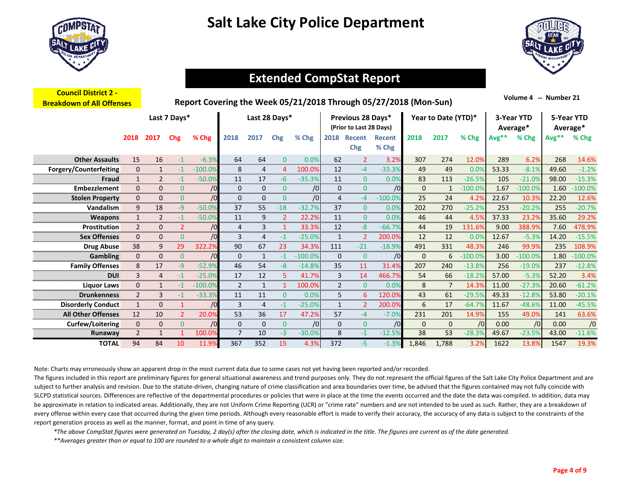

**Council District 2 ‐** 



### **Extended CompStat Report…….**

| <u>Council District Z -</u><br><b>Breakdown of All Offenses</b> |                |                |                |            |                |                |              |           |                |                                              | Report Covering the Week 05/21/2018 Through 05/27/2018 (Mon-Sun) |              |                     |           |         | Volume 4 -- Number 21  |       |                        |
|-----------------------------------------------------------------|----------------|----------------|----------------|------------|----------------|----------------|--------------|-----------|----------------|----------------------------------------------|------------------------------------------------------------------|--------------|---------------------|-----------|---------|------------------------|-------|------------------------|
|                                                                 |                |                | Last 7 Days*   |            |                | Last 28 Days*  |              |           |                | Previous 28 Days*<br>(Prior to Last 28 Days) |                                                                  |              | Year to Date (YTD)* |           |         | 3-Year YTD<br>Average* |       | 5-Year YTD<br>Average* |
|                                                                 | 2018           | 2017           | Chg            | % Chg      | 2018           | 2017           | Chg          | % Chg     | 2018           | Recent<br>Chg                                | <b>Recent</b><br>% Chg                                           | 2018         | 2017                | % Chg     | $Avg**$ | % Chg                  | Avg** | % Chg                  |
| <b>Other Assaults</b>                                           | 15             | 16             | $-1$           | $-6.3%$    | 64             | 64             | $\mathbf{0}$ | 0.0%      | 62             | $\overline{2}$                               | 3.2%                                                             | 307          | 274                 | 12.0%     | 289     | 6.2%                   | 268   | 14.6%                  |
| <b>Forgery/Counterfeiting</b>                                   | $\mathbf 0$    | $\mathbf{1}$   | -1             | $-100.0%$  | 8              | 4              | 4            | 100.0%    | 12             | $-4$                                         | $-33.3%$                                                         | 49           | 49                  | 0.0%      | 53.33   | $-8.1%$                | 49.60 | $-1.2%$                |
| Fraud                                                           | $\mathbf{1}$   | $\overline{2}$ | $-1$           | $-50.0%$   | 11             | 17             | -6           | $-35.3%$  | 11             | $\mathbf{0}$                                 | 0.0%                                                             | 83           | 113                 | $-26.5%$  | 105     | $-21.0%$               | 98.00 | $-15.3%$               |
| Embezzlement                                                    | $\Omega$       | 0              | $\Omega$       | /0         | $\Omega$       | $\mathbf 0$    | $\mathbf{0}$ | /0        | $\mathbf{0}$   | $\overline{0}$                               | /0                                                               | $\Omega$     | 1                   | $-100.0%$ | 1.67    | $-100.0%$              | 1.60  | $-100.0%$              |
| <b>Stolen Property</b>                                          | $\mathbf 0$    | 0              | $\Omega$       | /0         | $\mathbf{0}$   | $\mathbf 0$    | $\mathbf{0}$ | /0        | $\overline{4}$ | $-4$                                         | $-100.0%$                                                        | 25           | 24                  | 4.2%      | 22.67   | 10.3%                  | 22.20 | 12.6%                  |
| Vandalism                                                       | 9              | 18             | $-9$           | $-50.0%$   | 37             | 55             | $-18$        | $-32.7%$  | 37             | $\mathbf{0}$                                 | 0.0%                                                             | 202          | 270                 | $-25.2%$  | 253     | $-20.2%$               | 255   | $-20.7%$               |
| Weapons                                                         | $\mathbf{1}$   | 2              | $-1$           | $-50.0%$   | 11             | 9              | 2            | 22.2%     | 11             | $\overline{0}$                               | 0.0%                                                             | 46           | 44                  | 4.5%      | 37.33   | 23.2%                  | 35.60 | 29.2%                  |
| <b>Prostitution</b>                                             | $\overline{2}$ | $\mathbf{0}$   | $\overline{2}$ | $\sqrt{0}$ | $\overline{4}$ | 3              |              | 33.3%     | 12             | $-8$                                         | $-66.7%$                                                         | 44           | 19                  | 131.6%    | 9.00    | 388.9%                 | 7.60  | 478.9%                 |
| <b>Sex Offenses</b>                                             | $\mathbf{0}$   | $\mathbf{0}$   | $\mathbf{0}$   | /0         | 3              | 4              | -1           | $-25.0%$  | $\mathbf{1}$   | 2                                            | 200.0%                                                           | 12           | 12                  | 0.0%      | 12.67   | $-5.3%$                | 14.20 | $-15.5%$               |
| <b>Drug Abuse</b>                                               | 38             | 9              | 29             | 322.2%     | 90             | 67             | 23           | 34.3%     | 111            | $-21$                                        | $-18.9%$                                                         | 491          | 331                 | 48.3%     | 246     | 99.9%                  | 235   | 108.9%                 |
| <b>Gambling</b>                                                 | $\mathbf{0}$   | $\mathbf{0}$   | $\mathbf{0}$   | /0         | $\mathbf{0}$   | 1              | $-1$         | $-100.0%$ | $\mathbf{0}$   | $\mathbf{0}$                                 | /0                                                               | $\mathbf{0}$ | 6                   | $-100.0%$ | 3.00    | $-100.0%$              | 1.80  | $-100.0%$              |
| <b>Family Offenses</b>                                          | 8              | 17             | -9             | $-52.9%$   | 46             | 54             | -8           | $-14.8%$  | 35             | 11                                           | 31.4%                                                            | 207          | 240                 | $-13.8%$  | 256     | $-19.0%$               | 237   | $-12.8%$               |
| <b>DUI</b>                                                      | 3              | 4              | -1             | $-25.0%$   | 17             | 12             | 5            | 41.7%     | 3              | 14                                           | 466.7%                                                           | 54           | 66                  | $-18.2%$  | 57.00   | $-5.3%$                | 52.20 | 3.4%                   |
| <b>Liquor Laws</b>                                              | $\mathbf{0}$   | 1              | $-1$           | $-100.0%$  | 2              | 1              | -1           | 100.0%    | $\overline{2}$ | $\mathbf{0}$                                 | 0.0%                                                             | 8            | $\overline{7}$      | 14.3%     | 11.00   | $-27.3%$               | 20.60 | $-61.2%$               |
| <b>Drunkenness</b>                                              | $\overline{2}$ | 3              | $-1$           | $-33.3%$   | 11             | 11             | $\mathbf{0}$ | 0.0%      | 5              | 6                                            | 120.0%                                                           | 43           | 61                  | $-29.5%$  | 49.33   | $-12.8%$               | 53.80 | $-20.1%$               |
| <b>Disorderly Conduct</b>                                       | $\mathbf{1}$   | $\mathbf{0}$   |                | /0         | 3              | $\overline{4}$ | $-1$         | $-25.0%$  | $\mathbf{1}$   | 2                                            | 200.0%                                                           | 6            | 17                  | $-64.7%$  | 11.67   | $-48.6%$               | 11.00 | $-45.5%$               |
| <b>All Other Offenses</b>                                       | 12             | 10             | $\overline{2}$ | 20.0%      | 53             | 36             | 17           | 47.2%     | 57             | $-4$                                         | $-7.0%$                                                          | 231          | 201                 | 14.9%     | 155     | 49.0%                  | 141   | 63.6%                  |
| <b>Curfew/Loitering</b>                                         | $\mathbf{0}$   | 0              | $\overline{0}$ | /0         | $\mathbf{0}$   | $\mathbf{0}$   | $\mathbf{0}$ | /0        | $\mathbf{0}$   | $\overline{0}$                               | /0                                                               | $\mathbf{0}$ | $\mathbf{0}$        | /0        | 0.00    | $\sqrt{0}$             | 0.00  | /0                     |
| Runaway                                                         | $\overline{2}$ | $\mathbf{1}$   |                | 100.0%     | $\overline{7}$ | 10             | $-3$         | $-30.0%$  | 8              | $-1$                                         | $-12.5%$                                                         | 38           | 53                  | $-28.3%$  | 49.67   | $-23.5%$               | 43.00 | $-11.6%$               |
| <b>TOTAL</b>                                                    | 94             | 84             | 10             | 11.9%      | 367            | 352            | 15           | 4.3%      | 372            | -5.                                          | $-1.3%$                                                          | 1.846        | 1.788               | 3.2%      | 1622    | 13.8%                  | 1547  | 19.3%                  |

Note: Charts may erroneously show an apparent drop in the most current data due to some cases not yet having been reported and/or recorded.

The figures included in this report are preliminary figures for general situational awareness and trend purposes only. They do not represent the official figures of the Salt Lake City Police Department and are subject to further analysis and revision. Due to the statute-driven, changing nature of crime classification and area boundaries over time, be advised that the figures contained may not fully coincide with SLCPD statistical sources. Differences are reflective of the departmental procedures or policies that were in place at the time the events occurred and the date the data was compiled. In addition, data may be approximate in relation to indicated areas. Additionally, they are not Uniform Crime Reporting (UCR) or "crime rate" numbers and are not intended to be used as such. Rather, they are a breakdown of every offense within every case that occurred during the given time periods. Although every reasonable effort is made to verify their accuracy, the accuracy of any data is subject to the constraints of the report generation process as well as the manner, format, and point in time of any query.

*\*The above CompStat figures were generated on Tuesday, 2 day(s) after the closing date, which is indicated in the title. The figures are current as of the date generated.*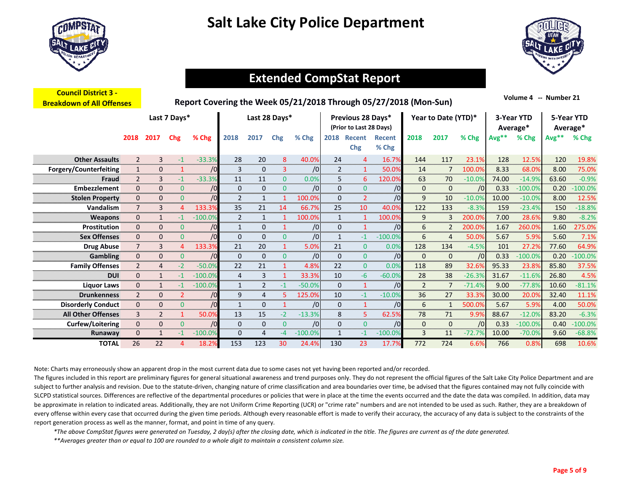



### **Extended CompStat Report…….**

| <b>Council District 3 -</b><br><b>Breakdown of All Offenses</b> |                |              |                |            |                |                |                |           |              |                                              | Report Covering the Week 05/21/2018 Through 05/27/2018 (Mon-Sun) |                |                     |          |         | Volume 4 -- Number 21  |       |                        |
|-----------------------------------------------------------------|----------------|--------------|----------------|------------|----------------|----------------|----------------|-----------|--------------|----------------------------------------------|------------------------------------------------------------------|----------------|---------------------|----------|---------|------------------------|-------|------------------------|
|                                                                 |                |              | Last 7 Days*   |            |                |                | Last 28 Days*  |           |              | Previous 28 Days*<br>(Prior to Last 28 Days) |                                                                  |                | Year to Date (YTD)* |          |         | 3-Year YTD<br>Average* |       | 5-Year YTD<br>Average* |
|                                                                 | 2018           | 2017         | <b>Chg</b>     | % Chg      | 2018           | 2017           | Chg            | % Chg     | 2018         | <b>Recent</b><br>Chg                         | Recent<br>% Chg                                                  | 2018           | 2017                | % Chg    | $Avg**$ | % Chg                  | Avg** | % Chg                  |
| <b>Other Assaults</b>                                           | $\overline{2}$ | 3            | $-1$           | $-33.3%$   | 28             | 20             | 8              | 40.0%     | 24           | $\overline{4}$                               | 16.7%                                                            | 144            | 117                 | 23.1%    | 128     | 12.5%                  | 120   | 19.8%                  |
| Forgery/Counterfeiting                                          | $\mathbf{1}$   | 0            |                | /0         | 3              | $\mathbf 0$    | 3              | /0        | 2            | $\mathbf{1}$                                 | 50.0%                                                            | 14             | 7                   | 100.0%   | 8.33    | 68.0%                  | 8.00  | 75.0%                  |
| Fraud                                                           | $\overline{2}$ | 3            | $-1$           | $-33.3%$   | 11             | 11             | $\overline{0}$ | 0.0%      | 5            | 6                                            | 120.0%                                                           | 63             | 70                  | $-10.0%$ | 74.00   | $-14.9%$               | 63.60 | $-0.9%$                |
| <b>Embezzlement</b>                                             | 0              | 0            | $\overline{0}$ | /0         | $\mathbf{0}$   | $\mathbf 0$    | $\mathbf{0}$   | /0        | $\mathbf{0}$ | $\mathbf{0}$                                 | /0                                                               | 0              | $\mathbf{0}$        | /0       | 0.33    | $-100.0%$              | 0.20  | $-100.0%$              |
| <b>Stolen Property</b>                                          | 0              | 0            | $\mathbf{0}$   | $\sqrt{0}$ | $\overline{2}$ | 1              |                | 100.0%    | $\mathbf{0}$ | $\overline{2}$                               | /0                                                               | 9              | 10                  | $-10.0%$ | 10.00   | $-10.0%$               | 8.00  | 12.5%                  |
| Vandalism                                                       | $\overline{7}$ | 3            | 4              | 133.3%     | 35             | 21             | 14             | 66.7%     | 25           | 10                                           | 40.0%                                                            | 122            | 133                 | $-8.3%$  | 159     | $-23.4%$               | 150   | $-18.8%$               |
| <b>Weapons</b>                                                  | 0              | $\mathbf{1}$ | $-1$           | $-100.0%$  | 2              | $\mathbf{1}$   | -1             | 100.0%    | 1            | $\mathbf{1}$                                 | 100.0%                                                           | 9              | 3                   | 200.0%   | 7.00    | 28.6%                  | 9.80  | $-8.2%$                |
| Prostitution                                                    | 0              | 0            | $\mathbf{0}$   | /0         | $\mathbf{1}$   | $\mathbf{0}$   | 1              | /0        | $\mathbf{0}$ | $\mathbf{1}$                                 | /0                                                               | 6              | 2                   | 200.0%   | 1.67    | 260.0%                 | 1.60  | 275.0%                 |
| <b>Sex Offenses</b>                                             | 0              | 0            | $\overline{0}$ | /0         | $\mathbf{0}$   | $\mathbf 0$    | $\mathbf{0}$   | /0        | $\mathbf{1}$ | $-1$                                         | $-100.0%$                                                        | 6              | 4                   | 50.0%    | 5.67    | 5.9%                   | 5.60  | 7.1%                   |
| <b>Drug Abuse</b>                                               | $\overline{7}$ | 3            | 4              | 133.3%     | 21             | 20             |                | 5.0%      | 21           | $\mathbf{0}$                                 | 0.0%                                                             | 128            | 134                 | $-4.5%$  | 101     | 27.2%                  | 77.60 | 64.9%                  |
| <b>Gambling</b>                                                 | 0              | 0            | $\mathbf{0}$   | /0         | $\mathbf{0}$   | $\mathbf 0$    | $\mathbf{0}$   | /0        | $\mathbf{0}$ | $\mathbf{0}$                                 | /0                                                               | 0              | $\mathbf{0}$        | /0       | 0.33    | $-100.0%$              | 0.20  | $-100.0%$              |
| <b>Family Offenses</b>                                          | $\overline{2}$ | 4            | $-2$           | $-50.0%$   | 22             | 21             | -1             | 4.8%      | 22           | $\mathbf{0}$                                 | 0.0%                                                             | 118            | 89                  | 32.6%    | 95.33   | 23.8%                  | 85.80 | 37.5%                  |
| <b>DUI</b>                                                      | 0              | $\mathbf{1}$ | -1             | $-100.0%$  | 4              | 3              | 1              | 33.3%     | 10           | -6                                           | $-60.0%$                                                         | 28             | 38                  | $-26.3%$ | 31.67   | $-11.6%$               | 26.80 | 4.5%                   |
| <b>Liquor Laws</b>                                              | 0              |              | -1             | $-100.0%$  | $\mathbf{1}$   | $\overline{2}$ | $-1$           | $-50.0%$  | $\mathbf{0}$ | $\mathbf{1}$                                 | /0                                                               | $\overline{2}$ | $\overline{7}$      | $-71.4%$ | 9.00    | $-77.8%$               | 10.60 | $-81.1%$               |
| <b>Drunkenness</b>                                              | 2              | 0            | $\overline{2}$ | $\sqrt{0}$ | 9              | $\overline{4}$ | 5.             | 125.0%    | 10           | $-1$                                         | $-10.0%$                                                         | 36             | 27                  | 33.3%    | 30.00   | 20.0%                  | 32.40 | 11.1%                  |
| <b>Disorderly Conduct</b>                                       | $\mathbf{0}$   | 0            | $\mathbf{0}$   | /0         | $\mathbf{1}$   | $\mathbf 0$    |                | /0        | $\mathbf{0}$ | $\mathbf{1}$                                 | /0                                                               | 6              | $\mathbf{1}$        | 500.0%   | 5.67    | 5.9%                   | 4.00  | 50.0%                  |
| <b>All Other Offenses</b>                                       | 3              | 2            |                | 50.0%      | 13             | 15             | $-2$           | $-13.3%$  | 8            | 5                                            | 62.5%                                                            | 78             | 71                  | 9.9%     | 88.67   | $-12.0%$               | 83.20 | $-6.3%$                |
| <b>Curfew/Loitering</b>                                         | 0              | 0            | $\Omega$       | /0         | 0              | 0              | $\mathbf{0}$   | /0        | $\mathbf{0}$ | $\overline{0}$                               | /0                                                               | 0              | 0                   | /0       | 0.33    | $-100.0%$              | 0.40  | $-100.0%$              |
| Runaway                                                         | 0              |              | $-1$           | $-100.0%$  | 0              | 4              | $-4$           | $-100.0%$ | $\mathbf{1}$ | $-1$                                         | $-100.0%$                                                        | 3              | 11                  | $-72.7%$ | 10.00   | $-70.0%$               | 9.60  | $-68.8%$               |
| <b>TOTAL</b>                                                    | 26             | 22           |                | 18.2%      | 153            | 123            | 30             | 24.4%     | 130          | 23                                           | 17.7%                                                            | 772            | 724                 | 6.6%     | 766     | 0.8%                   | 698   | 10.6%                  |

Note: Charts may erroneously show an apparent drop in the most current data due to some cases not yet having been reported and/or recorded.

The figures included in this report are preliminary figures for general situational awareness and trend purposes only. They do not represent the official figures of the Salt Lake City Police Department and are subject to further analysis and revision. Due to the statute-driven, changing nature of crime classification and area boundaries over time, be advised that the figures contained may not fully coincide with SLCPD statistical sources. Differences are reflective of the departmental procedures or policies that were in place at the time the events occurred and the date the data was compiled. In addition, data may be approximate in relation to indicated areas. Additionally, they are not Uniform Crime Reporting (UCR) or "crime rate" numbers and are not intended to be used as such. Rather, they are a breakdown of every offense within every case that occurred during the given time periods. Although every reasonable effort is made to verify their accuracy, the accuracy of any data is subject to the constraints of the report generation process as well as the manner, format, and point in time of any query.

*\*The above CompStat figures were generated on Tuesday, 2 day(s) after the closing date, which is indicated in the title. The figures are current as of the date generated.*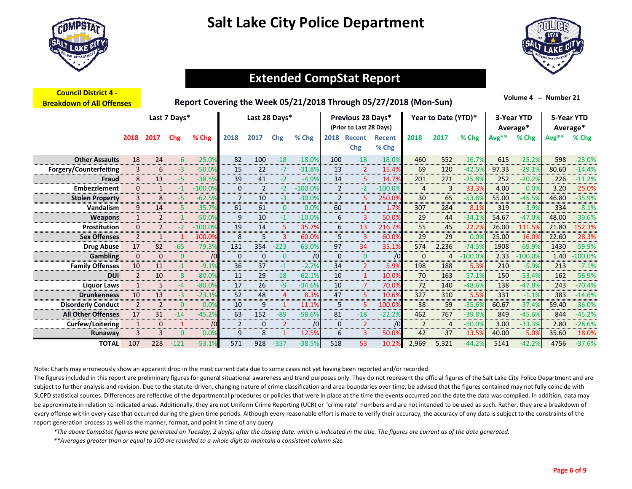



### **Extended CompStat Report…….**

| <b>Council District 4 -</b><br><b>Breakdown of All Offenses</b> |                |                |              |           |              |                |              | Report Covering the Week 05/21/2018 Through 05/27/2018 (Mon-Sun) |                |                                              |                        |              |                     |           |         | Volume 4 -- Number 21  |       |                        |
|-----------------------------------------------------------------|----------------|----------------|--------------|-----------|--------------|----------------|--------------|------------------------------------------------------------------|----------------|----------------------------------------------|------------------------|--------------|---------------------|-----------|---------|------------------------|-------|------------------------|
|                                                                 |                |                | Last 7 Days* |           |              | Last 28 Days*  |              |                                                                  |                | Previous 28 Days*<br>(Prior to Last 28 Days) |                        |              | Year to Date (YTD)* |           |         | 3-Year YTD<br>Average* |       | 5-Year YTD<br>Average* |
|                                                                 | 2018           | 2017           | Chg          | % Chg     | 2018         | 2017           | Chg          | % Chg                                                            | 2018           | <b>Recent</b><br><b>Chg</b>                  | <b>Recent</b><br>% Chg | 2018         | 2017                | % Chg     | $Avg**$ | % Chg                  | Avg** | % Chg                  |
| <b>Other Assaults</b>                                           | 18             | 24             | -6           | $-25.0%$  | 82           | 100            | $-18$        | $-18.0%$                                                         | 100            | $-18$                                        | $-18.0%$               | 460          | 552                 | $-16.7%$  | 615     | $-25.2%$               | 598   | $-23.0%$               |
| Forgery/Counterfeiting                                          | 3              | 6              | -3           | $-50.0%$  | 15           | 22             | $-7$         | $-31.8%$                                                         | 13             | $\overline{2}$                               | 15.4%                  | 69           | 120                 | $-42.5%$  | 97.33   | $-29.1%$               | 80.60 | $-14.4%$               |
| Fraud                                                           | 8              | 13             | -5           | $-38.5%$  | 39           | 41             | $-2$         | $-4.9%$                                                          | 34             | 5                                            | 14.7%                  | 201          | 271                 | $-25.8%$  | 252     | $-20.2%$               | 226   | $-11.2%$               |
| Embezzlement                                                    | $\mathbf{0}$   | $\mathbf{1}$   | $-1$         | $-100.0%$ | 0            | $\overline{2}$ | $-2$         | $-100.0%$                                                        | $\overline{2}$ | $-2$                                         | $-100.0%$              | 4            | 3                   | 33.3%     | 4.00    | 0.0%                   | 3.20  | 25.0%                  |
| <b>Stolen Property</b>                                          | 3              | 8              | -5           | $-62.5%$  | 7            | 10             | -3           | $-30.0%$                                                         | $\overline{2}$ | 5.                                           | 250.0%                 | 30           | 65                  | $-53.8%$  | 55.00   | $-45.5%$               | 46.80 | $-35.9%$               |
| Vandalism                                                       | 9              | 14             | $-5$         | $-35.7%$  | 61           | 61             | $\mathbf{0}$ | 0.0%                                                             | 60             | $\mathbf{1}$                                 | 1.7%                   | 307          | 284                 | 8.1%      | 319     | $-3.9%$                | 334   | $-8.1%$                |
| <b>Weapons</b>                                                  | $\mathbf{1}$   | $\overline{2}$ | -1           | $-50.0%$  | 9            | 10             | $-1$         | $-10.0%$                                                         | 6              | 3                                            | 50.0%                  | 29           | 44                  | $-34.1%$  | 54.67   | $-47.09$               | 48.00 | $-39.6%$               |
| Prostitution                                                    | $\mathbf{0}$   | $\overline{2}$ | $-2$         | $-100.0%$ | 19           | 14             | 5            | 35.7%                                                            | 6              | 13                                           | 216.7%                 | 55           | 45                  | 22.2%     | 26.00   | 111.5%                 | 21.80 | 152.3%                 |
| <b>Sex Offenses</b>                                             | $\overline{2}$ | $\mathbf{1}$   |              | 100.0%    | 8            | 5              | 3            | 60.0%                                                            | 5              | 3                                            | 60.0%                  | 29           | 29                  | 0.0%      | 25.00   | 16.0%                  | 22.60 | 28.3%                  |
| <b>Drug Abuse</b>                                               | 17             | 82             | $-65$        | $-79.3%$  | 131          | 354            | $-223$       | $-63.0%$                                                         | 97             | 34                                           | 35.1%                  | 574          | 2,236               | $-74.3%$  | 1908    | $-69.9%$               | 1430  | $-59.9%$               |
| <b>Gambling</b>                                                 | $\mathbf{0}$   | 0              | $\mathbf{0}$ | /0        | $\mathbf{0}$ | $\mathbf{0}$   | $\mathbf{0}$ | /0                                                               | $\mathbf{0}$   | $\overline{0}$                               | /0                     | $\mathbf{0}$ | 4                   | $-100.0%$ | 2.33    | $-100.0%$              | 1.40  | $-100.0%$              |
| <b>Family Offenses</b>                                          | 10             | 11             | $-1$         | $-9.1%$   | 36           | 37             | $-1$         | $-2.7%$                                                          | 34             | $\overline{2}$                               | 5.9%                   | 198          | 188                 | 5.3%      | 210     | $-5.9%$                | 213   | $-7.1%$                |
| <b>DUI</b>                                                      | $\overline{2}$ | 10             | -8           | $-80.0%$  | 11           | 29             | $-18$        | $-62.1%$                                                         | 10             | $\mathbf{1}$                                 | 10.0%                  | 70           | 163                 | $-57.1%$  | 150     | $-53.4%$               | 162   | $-56.9%$               |
| <b>Liquor Laws</b>                                              | $\mathbf{1}$   | 5              | $-4$         | $-80.0%$  | 17           | 26             | $-9$         | $-34.6%$                                                         | 10             | $\overline{7}$                               | 70.0%                  | 72           | 140                 | $-48.6%$  | 138     | $-47.8%$               | 243   | $-70.4%$               |
| <b>Drunkenness</b>                                              | 10             | 13             | $-3$         | $-23.1%$  | 52           | 48             | 4            | 8.3%                                                             | 47             | 5                                            | 10.6%                  | 327          | 310                 | 5.5%      | 331     | $-1.1%$                | 383   | $-14.6%$               |
| <b>Disorderly Conduct</b>                                       | $\overline{2}$ | $\overline{2}$ | $\Omega$     | 0.0%      | 10           | 9              | $\mathbf{1}$ | 11.1%                                                            | 5              | 5                                            | 100.0%                 | 38           | 59                  | $-35.6%$  | 60.67   | $-37.4%$               | 59.40 | $-36.0%$               |
| <b>All Other Offenses</b>                                       | 17             | 31             | $-14$        | $-45.2%$  | 63           | 152            | $-89$        | $-58.6%$                                                         | 81             | $-18$                                        | $-22.2%$               | 462          | 767                 | $-39.8%$  | 849     | $-45.6%$               | 844   | $-45.2%$               |
| Curfew/Loitering                                                | $\mathbf{1}$   | 0              | $\mathbf 1$  | /0        | 2            | $\mathbf 0$    | 2            | /0                                                               | 0              | $\overline{2}$                               | /0                     | 2            | 4                   | $-50.0%$  | 3.00    | $-33.3%$               | 2.80  | $-28.6%$               |
| Runaway                                                         | 3              | 3              | $\Omega$     | 0.0%      | 9            | 8              | $\mathbf{1}$ | 12.5%                                                            | 6              | $\overline{3}$                               | 50.0%                  | 42           | 37                  | 13.5%     | 40.00   | 5.0%                   | 35.60 | 18.0%                  |
| <b>TOTAL</b>                                                    | 107            | 228            | $-121$       | $-53.1%$  | 571          | 928            | $-357$       | $-38.5%$                                                         | 518            | 53                                           | 10.2%                  | 2.969        | 5.321               | $-44.2%$  | 5141    | $-42.2%$               | 4756  | $-37.6%$               |

Note: Charts may erroneously show an apparent drop in the most current data due to some cases not yet having been reported and/or recorded.

The figures included in this report are preliminary figures for general situational awareness and trend purposes only. They do not represent the official figures of the Salt Lake City Police Department and are subject to further analysis and revision. Due to the statute-driven, changing nature of crime classification and area boundaries over time, be advised that the figures contained may not fully coincide with SLCPD statistical sources. Differences are reflective of the departmental procedures or policies that were in place at the time the events occurred and the date the data was compiled. In addition, data may be approximate in relation to indicated areas. Additionally, they are not Uniform Crime Reporting (UCR) or "crime rate" numbers and are not intended to be used as such. Rather, they are a breakdown of every offense within every case that occurred during the given time periods. Although every reasonable effort is made to verify their accuracy, the accuracy of any data is subject to the constraints of the report generation process as well as the manner, format, and point in time of any query.

*\*The above CompStat figures were generated on Tuesday, 2 day(s) after the closing date, which is indicated in the title. The figures are current as of the date generated.*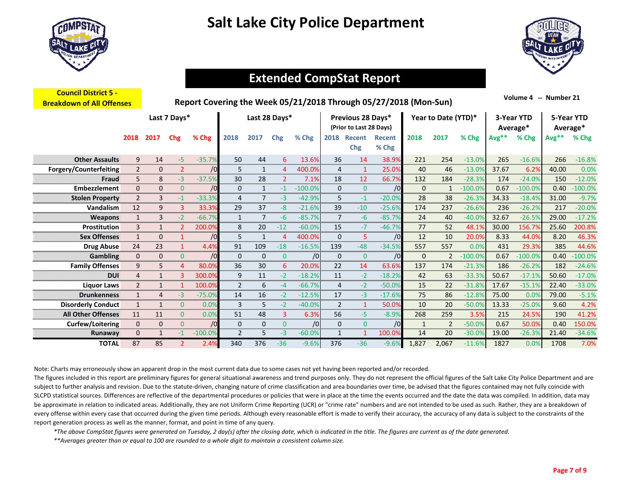



### **Extended CompStat Report…….**

| <b>Council District 5 -</b><br><b>Breakdown of All Offenses</b> |                |              |                | Report Covering the Week 05/21/2018 Through 05/27/2018 (Mon-Sun) |                |               |                |           |                |                                              |                 |       |                     |           |         | Volume 4 -- Number 21  |       |                        |
|-----------------------------------------------------------------|----------------|--------------|----------------|------------------------------------------------------------------|----------------|---------------|----------------|-----------|----------------|----------------------------------------------|-----------------|-------|---------------------|-----------|---------|------------------------|-------|------------------------|
|                                                                 |                |              | Last 7 Days*   |                                                                  |                | Last 28 Days* |                |           |                | Previous 28 Days*<br>(Prior to Last 28 Days) |                 |       | Year to Date (YTD)* |           |         | 3-Year YTD<br>Average* |       | 5-Year YTD<br>Average* |
|                                                                 | 2018           | 2017         | Chg            | % Chg                                                            | 2018           | 2017          | Chg            | % Chg     | 2018           | <b>Recent</b><br>Chg                         | Recent<br>% Chg | 2018  | 2017                | % Chg     | $Avg**$ | % Chg                  | Avg** | % Chg                  |
| <b>Other Assaults</b>                                           | 9              | 14           | $-5$           | $-35.7%$                                                         | 50             | 44            | 6              | 13.6%     | 36             | 14                                           | 38.9%           | 221   | 254                 | $-13.0%$  | 265     | $-16.6%$               | 266   | $-16.8%$               |
| Forgery/Counterfeiting                                          | $\overline{2}$ | 0            | $\overline{2}$ | /0                                                               | 5              | 1             | 4              | 400.0%    | 4              | $\mathbf{1}$                                 | 25.0%           | 40    | 46                  | $-13.0%$  | 37.67   | 6.2%                   | 40.00 | 0.0%                   |
| Fraud                                                           | 5              | 8            | $-3$           | $-37.5%$                                                         | 30             | 28            | $\overline{2}$ | 7.1%      | 18             | 12                                           | 66.7%           | 132   | 184                 | $-28.3%$  | 174     | $-24.0%$               | 150   | $-12.0%$               |
| <b>Embezzlement</b>                                             | 0              | 0            | $\overline{0}$ | /0                                                               | $\mathbf{0}$   | 1             | $-1$           | $-100.0%$ | $\mathbf{0}$   | $\mathbf{0}$                                 | /0              | 0     | $\mathbf{1}$        | $-100.0%$ | 0.67    | $-100.0%$              | 0.40  | $-100.0%$              |
| <b>Stolen Property</b>                                          | $\overline{2}$ | 3            | $-1$           | $-33.3%$                                                         | 4              | 7             | -3             | $-42.9%$  | 5              | $-1$                                         | $-20.0%$        | 28    | 38                  | $-26.3%$  | 34.33   | $-18.4%$               | 31.00 | $-9.7%$                |
| Vandalism                                                       | 12             | 9            | 3              | 33.3%                                                            | 29             | 37            | $-8$           | $-21.6%$  | 39             | $-10$                                        | $-25.6%$        | 174   | 237                 | $-26.6%$  | 236     | $-26.2%$               | 217   | $-20.0%$               |
| <b>Weapons</b>                                                  | $\mathbf{1}$   | 3            | $-2$           | $-66.7%$                                                         | 1              | 7             | $-6$           | $-85.7%$  | $\overline{7}$ | $-6$                                         | $-85.7%$        | 24    | 40                  | $-40.0%$  | 32.67   | $-26.5%$               | 29.00 | $-17.2%$               |
| Prostitution                                                    | 3              | $\mathbf{1}$ | $\mathcal{P}$  | 200.0%                                                           | 8              | 20            | $-12$          | $-60.0%$  | 15             | $-7$                                         | $-46.7%$        | 77    | 52                  | 48.1%     | 30.00   | 156.7%                 | 25.60 | 200.8%                 |
| <b>Sex Offenses</b>                                             | $\mathbf{1}$   | 0            |                | /0                                                               | 5              | $\mathbf{1}$  | 4              | 400.0%    | $\mathbf{0}$   | 5                                            | /0              | 12    | 10                  | 20.0%     | 8.33    | 44.0%                  | 8.20  | 46.3%                  |
| <b>Drug Abuse</b>                                               | 24             | 23           | $\mathbf{1}$   | 4.4%                                                             | 91             | 109           | $-18$          | $-16.5%$  | 139            | $-48$                                        | $-34.5%$        | 557   | 557                 | 0.0%      | 431     | 29.3%                  | 385   | 44.6%                  |
| <b>Gambling</b>                                                 | 0              | 0            | $\mathbf{0}$   | /0                                                               | $\mathbf{0}$   | $\mathbf 0$   | $\mathbf{0}$   | /0        | $\mathbf{0}$   | $\mathbf{0}$                                 | /0              | 0     | 2                   | $-100.0%$ | 0.67    | $-100.0%$              | 0.40  | $-100.0%$              |
| <b>Family Offenses</b>                                          | 9              | 5.           | 4              | 80.0%                                                            | 36             | 30            | 6              | 20.0%     | 22             | 14                                           | 63.6%           | 137   | 174                 | $-21.3%$  | 186     | $-26.2%$               | 182   | $-24.6%$               |
| <b>DUI</b>                                                      | 4              | $\mathbf{1}$ |                | 300.0%                                                           | 9              | 11            | $-2$           | $-18.2%$  | 11             | $-2$                                         | $-18.2%$        | 42    | 63                  | $-33.3%$  | 50.67   | $-17.1%$               | 50.60 | $-17.0%$               |
| <b>Liquor Laws</b>                                              | $\overline{2}$ |              |                | 100.0%                                                           | $\overline{2}$ | 6             | $-4$           | $-66.7%$  | $\overline{4}$ | $-2$                                         | $-50.0%$        | 15    | 22                  | $-31.8%$  | 17.67   | $-15.1%$               | 22.40 | $-33.0%$               |
| <b>Drunkenness</b>                                              | $\mathbf{1}$   | 4            | -3             | $-75.0%$                                                         | 14             | 16            | $-2$           | $-12.5%$  | 17             | $-3$                                         | $-17.6%$        | 75    | 86                  | $-12.8%$  | 75.00   | 0.0%                   | 79.00 | $-5.1%$                |
| <b>Disorderly Conduct</b>                                       | $\mathbf{1}$   | $\mathbf{1}$ | $\mathbf{0}$   | 0.0%                                                             | 3              | 5             | $-2$           | $-40.0%$  | $\overline{2}$ | $\mathbf{1}$                                 | 50.0%           | 10    | 20                  | $-50.0%$  | 13.33   | $-25.0%$               | 9.60  | 4.2%                   |
| <b>All Other Offenses</b>                                       | 11             | 11           | $\Omega$       | 0.0%                                                             | 51             | 48            | 3              | 6.3%      | 56             | -5.                                          | $-8.9%$         | 268   | 259                 | 3.5%      | 215     | 24.5%                  | 190   | 41.2%                  |
| <b>Curfew/Loitering</b>                                         | 0              | 0            | $\overline{0}$ | /0                                                               | 0              | 0             | $\mathbf{0}$   | /0        | $\mathbf{0}$   | $\mathbf{0}$                                 | /0              | 1     | 2                   | $-50.0%$  | 0.67    | 50.0%                  | 0.40  | 150.0%                 |
| Runaway                                                         | 0              | $\mathbf{1}$ | $-1$           | $-100.0%$                                                        | $\overline{2}$ | 5             | $-3$           | $-60.0%$  | $\mathbf{1}$   | 1                                            | 100.0%          | 14    | 20                  | $-30.0%$  | 19.00   | $-26.3%$               | 21.40 | $-34.6%$               |
| <b>TOTAL</b>                                                    | 87             | 85           |                | 2.4%                                                             | 340            | 376           | $-36$          | $-9.6%$   | 376            | $-36$                                        | $-9.6%$         | 1.827 | 2.067               | $-11.6%$  | 1827    | 0.0%                   | 1708  | 7.0%                   |

Note: Charts may erroneously show an apparent drop in the most current data due to some cases not yet having been reported and/or recorded.

The figures included in this report are preliminary figures for general situational awareness and trend purposes only. They do not represent the official figures of the Salt Lake City Police Department and are subject to further analysis and revision. Due to the statute-driven, changing nature of crime classification and area boundaries over time, be advised that the figures contained may not fully coincide with SLCPD statistical sources. Differences are reflective of the departmental procedures or policies that were in place at the time the events occurred and the date the data was compiled. In addition, data may be approximate in relation to indicated areas. Additionally, they are not Uniform Crime Reporting (UCR) or "crime rate" numbers and are not intended to be used as such. Rather, they are a breakdown of every offense within every case that occurred during the given time periods. Although every reasonable effort is made to verify their accuracy, the accuracy of any data is subject to the constraints of the report generation process as well as the manner, format, and point in time of any query.

*\*The above CompStat figures were generated on Tuesday, 2 day(s) after the closing date, which is indicated in the title. The figures are current as of the date generated.*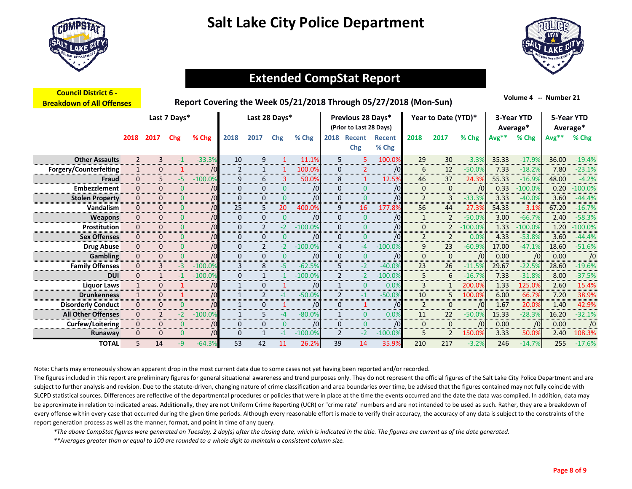

**Council District 6 ‐** 



### **Extended CompStat Report…….**

| <u> COUNCIL DISTRICT 0 -</u><br><b>Breakdown of All Offenses</b> |                |                |                | Report Covering the Week 05/21/2018 Through 05/27/2018 (Mon-Sun) |              |                |               |           |                |                                              |                        |                |                     |            |         | Volume 4 -- Number 21  |         |                        |
|------------------------------------------------------------------|----------------|----------------|----------------|------------------------------------------------------------------|--------------|----------------|---------------|-----------|----------------|----------------------------------------------|------------------------|----------------|---------------------|------------|---------|------------------------|---------|------------------------|
|                                                                  |                |                | Last 7 Days*   |                                                                  |              |                | Last 28 Days* |           |                | Previous 28 Days*<br>(Prior to Last 28 Days) |                        |                | Year to Date (YTD)* |            |         | 3-Year YTD<br>Average* |         | 5-Year YTD<br>Average* |
|                                                                  | 2018           | 2017           | <b>Chg</b>     | % Chg                                                            | 2018         | 2017           | Chg           | % Chg     | 2018           | <b>Recent</b><br><b>Chg</b>                  | <b>Recent</b><br>% Chg | 2018           | 2017                | % Chg      | $Avg**$ | % Chg                  | $Avg**$ | % Chg                  |
| <b>Other Assaults</b>                                            | $\overline{2}$ | 3              | $-1$           | $-33.3%$                                                         | 10           | 9              | 1             | 11.1%     | 5              | 5                                            | 100.0%                 | 29             | 30                  | $-3.3%$    | 35.33   | $-17.9%$               | 36.00   | $-19.4%$               |
| Forgery/Counterfeiting                                           | $\mathbf{1}$   | 0              |                | /0                                                               | 2            | 1              |               | 100.0%    | $\mathbf{0}$   | $\overline{2}$                               | /0                     | 6              | 12                  | $-50.0%$   | 7.33    | $-18.2%$               | 7.80    | $-23.1%$               |
| Fraud                                                            | 0              | 5              | -5.            | $-100.0%$                                                        | 9            | 6              | 3             | 50.0%     | 8              | $\mathbf{1}$                                 | 12.5%                  | 46             | 37                  | 24.3%      | 55.33   | $-16.9%$               | 48.00   | $-4.2%$                |
| Embezzlement                                                     | 0              | 0              | $\overline{0}$ | /0                                                               | $\mathbf{0}$ | $\mathbf{0}$   | $\mathbf{0}$  | /0        | $\mathbf{0}$   | $\mathbf{0}$                                 | /0                     | 0              | $\mathbf{0}$        | /0         | 0.33    | $-100.0%$              | 0.20    | $-100.0%$              |
| <b>Stolen Property</b>                                           | 0              | 0              | $\Omega$       | /0                                                               | $\mathbf{0}$ | $\mathbf{0}$   | $\mathbf{0}$  | /0        | $\mathbf{0}$   | $\mathbf{0}$                                 | /0                     | $\overline{2}$ | 3                   | $-33.3%$   | 3.33    | $-40.0%$               | 3.60    | $-44.4%$               |
| Vandalism                                                        | 0              | 0              | $\mathbf{0}$   | /0                                                               | 25           | 5              | 20            | 400.0%    | 9              | 16                                           | 177.8%                 | 56             | 44                  | 27.3%      | 54.33   | 3.1%                   | 67.20   | $-16.7%$               |
| <b>Weapons</b>                                                   | 0              | 0              | $\overline{0}$ | /0                                                               | $\mathbf{0}$ | $\mathbf 0$    | $\mathbf{0}$  | /0        | $\mathbf{0}$   | $\mathbf{0}$                                 | /0                     | $\mathbf{1}$   | $\overline{2}$      | $-50.0%$   | 3.00    | $-66.7%$               | 2.40    | $-58.3%$               |
| Prostitution                                                     | 0              | 0              | $\mathbf{0}$   | /0                                                               | 0            | $\overline{2}$ | $-2$          | $-100.0%$ | $\mathbf{0}$   | $\mathbf{0}$                                 | /0                     | $\mathbf{0}$   | $\overline{2}$      | $-100.0\%$ | 1.33    | $-100.0%$              | 1.20    | $-100.0%$              |
| <b>Sex Offenses</b>                                              | 0              | 0              | $\mathbf{0}$   | /0                                                               | 0            | $\mathbf{0}$   | $\mathbf{0}$  | /0        | $\mathbf{0}$   | $\mathbf{0}$                                 | /0                     | $\overline{2}$ | 2                   | 0.0%       | 4.33    | $-53.8%$               | 3.60    | $-44.4%$               |
| <b>Drug Abuse</b>                                                | 0              | 0              | $\mathbf{0}$   | /0                                                               | 0            | $\overline{2}$ | $-2$          | $-100.0%$ | 4              | $-4$                                         | $-100.0%$              | 9              | 23                  | $-60.9%$   | 17.00   | $-47.1%$               | 18.60   | $-51.6%$               |
| <b>Gambling</b>                                                  | 0              | 0              | $\overline{0}$ | /0                                                               | 0            | $\mathbf{0}$   | $\mathbf{0}$  | /0        | $\mathbf{0}$   | $\mathbf{0}$                                 | /0                     | 0              | $\mathbf{0}$        | /0         | 0.00    | /0                     | 0.00    | /0                     |
| <b>Family Offenses</b>                                           | 0              | 3              | -3             | $-100.0%$                                                        | 3            | 8              | -5            | $-62.5%$  | 5              | $-2$                                         | $-40.0%$               | 23             | 26                  | $-11.5%$   | 29.67   | $-22.5%$               | 28.60   | $-19.6%$               |
| <b>DUI</b>                                                       | 0              |                | $-1$           | $-100.0%$                                                        | $\mathbf{0}$ | $\mathbf{1}$   | $-1$          | $-100.0%$ | $\overline{2}$ | $-2$                                         | $-100.0%$              | 5              | 6                   | $-16.7%$   | 7.33    | $-31.8%$               | 8.00    | $-37.5%$               |
| <b>Liquor Laws</b>                                               | $\mathbf{1}$   | 0              |                | /0                                                               | $\mathbf{1}$ | $\mathbf 0$    |               | /0        | $\mathbf{1}$   | $\mathbf{0}$                                 | 0.0%                   | 3              | $\mathbf{1}$        | 200.0%     | 1.33    | 125.0%                 | 2.60    | 15.4%                  |
| <b>Drunkenness</b>                                               | $\mathbf{1}$   | 0              |                | /0                                                               | $\mathbf{1}$ | $\overline{2}$ | $-1$          | $-50.0%$  | $\overline{2}$ | $-1$                                         | $-50.0%$               | 10             | 5                   | 100.0%     | 6.00    | 66.7%                  | 7.20    | 38.9%                  |
| <b>Disorderly Conduct</b>                                        | 0              | $\Omega$       | $\overline{0}$ | /0                                                               | $\mathbf{1}$ | $\Omega$       |               | /0        | $\mathbf{0}$   | $\mathbf{1}$                                 | /0                     | $\overline{2}$ | $\Omega$            | /0         | 1.67    | 20.0%                  | 1.40    | 42.9%                  |
| <b>All Other Offenses</b>                                        | 0              | $\overline{2}$ | $-2$           | $-100.0%$                                                        | $\mathbf{1}$ | 5              | $-4$          | $-80.0%$  | 1              | $\mathbf{0}$                                 | 0.0%                   | 11             | 22                  | $-50.0%$   | 15.33   | $-28.3%$               | 16.20   | $-32.1%$               |
| <b>Curfew/Loitering</b>                                          | 0              | 0              | $\mathbf{0}$   | /0                                                               | $\mathbf{0}$ | $\mathbf{0}$   | $\mathbf{0}$  | /0        | $\mathbf{0}$   | $\mathbf{0}$                                 | /0                     | 0              | $\mathbf{0}$        | /0         | 0.00    | /0                     | 0.00    | /0                     |
| Runaway                                                          | 0              | $\Omega$       | $\mathbf{0}$   | /0                                                               | 0            | $\mathbf{1}$   | $-1$          | $-100.0%$ | $\overline{2}$ | $-2$                                         | $-100.0%$              | 5              | $\overline{2}$      | 150.0%     | 3.33    | 50.0%                  | 2.40    | 108.3%                 |
| <b>TOTAL</b>                                                     | 5              | 14             | $-9$           | $-64.3%$                                                         | 53           | 42             | 11            | 26.2%     | 39             | 14                                           | 35.9%                  | 210            | 217                 | $-3.2%$    | 246     | $-14.7%$               | 255     | $-17.6%$               |

Note: Charts may erroneously show an apparent drop in the most current data due to some cases not yet having been reported and/or recorded.

The figures included in this report are preliminary figures for general situational awareness and trend purposes only. They do not represent the official figures of the Salt Lake City Police Department and are subject to further analysis and revision. Due to the statute-driven, changing nature of crime classification and area boundaries over time, be advised that the figures contained may not fully coincide with SLCPD statistical sources. Differences are reflective of the departmental procedures or policies that were in place at the time the events occurred and the date the data was compiled. In addition, data may be approximate in relation to indicated areas. Additionally, they are not Uniform Crime Reporting (UCR) or "crime rate" numbers and are not intended to be used as such. Rather, they are a breakdown of every offense within every case that occurred during the given time periods. Although every reasonable effort is made to verify their accuracy, the accuracy of any data is subject to the constraints of the report generation process as well as the manner, format, and point in time of any query.

*\*The above CompStat figures were generated on Tuesday, 2 day(s) after the closing date, which is indicated in the title. The figures are current as of the date generated.*